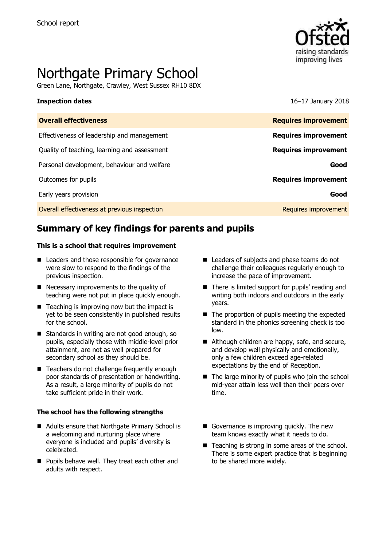

# Northgate Primary School

Green Lane, Northgate, Crawley, West Sussex RH10 8DX

**Inspection dates** 16–17 January 2018

| <b>Overall effectiveness</b>                 | <b>Requires improvement</b> |
|----------------------------------------------|-----------------------------|
| Effectiveness of leadership and management   | <b>Requires improvement</b> |
| Quality of teaching, learning and assessment | <b>Requires improvement</b> |
| Personal development, behaviour and welfare  | Good                        |
| Outcomes for pupils                          | <b>Requires improvement</b> |
| Early years provision                        | Good                        |
| Overall effectiveness at previous inspection | Requires improvement        |

# **Summary of key findings for parents and pupils**

### **This is a school that requires improvement**

- Leaders and those responsible for governance were slow to respond to the findings of the previous inspection.
- Necessary improvements to the quality of teaching were not put in place quickly enough.
- $\blacksquare$  Teaching is improving now but the impact is yet to be seen consistently in published results for the school.
- Standards in writing are not good enough, so pupils, especially those with middle-level prior attainment, are not as well prepared for secondary school as they should be.
- Teachers do not challenge frequently enough poor standards of presentation or handwriting. As a result, a large minority of pupils do not take sufficient pride in their work.

### **The school has the following strengths**

- Adults ensure that Northgate Primary School is a welcoming and nurturing place where everyone is included and pupils' diversity is celebrated.
- **Pupils behave well. They treat each other and** adults with respect.
- Leaders of subjects and phase teams do not challenge their colleagues regularly enough to increase the pace of improvement.
- There is limited support for pupils' reading and writing both indoors and outdoors in the early years.
- The proportion of pupils meeting the expected standard in the phonics screening check is too low.
- Although children are happy, safe, and secure, and develop well physically and emotionally, only a few children exceed age-related expectations by the end of Reception.
- The large minority of pupils who join the school mid-year attain less well than their peers over time.
- Governance is improving quickly. The new team knows exactly what it needs to do.
- Teaching is strong in some areas of the school. There is some expert practice that is beginning to be shared more widely.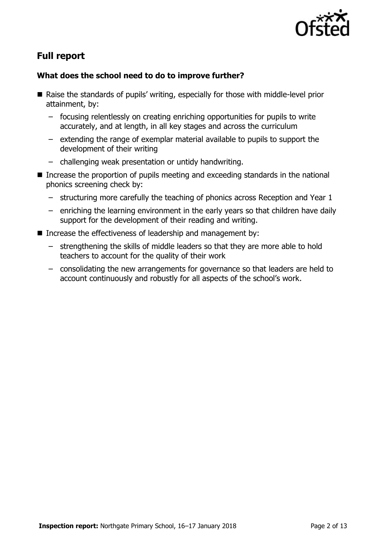

# **Full report**

### **What does the school need to do to improve further?**

- Raise the standards of pupils' writing, especially for those with middle-level prior attainment, by:
	- focusing relentlessly on creating enriching opportunities for pupils to write accurately, and at length, in all key stages and across the curriculum
	- extending the range of exemplar material available to pupils to support the development of their writing
	- challenging weak presentation or untidy handwriting.
- Increase the proportion of pupils meeting and exceeding standards in the national phonics screening check by:
	- structuring more carefully the teaching of phonics across Reception and Year 1
	- enriching the learning environment in the early years so that children have daily support for the development of their reading and writing.
- Increase the effectiveness of leadership and management by:
	- strengthening the skills of middle leaders so that they are more able to hold teachers to account for the quality of their work
	- consolidating the new arrangements for governance so that leaders are held to account continuously and robustly for all aspects of the school's work.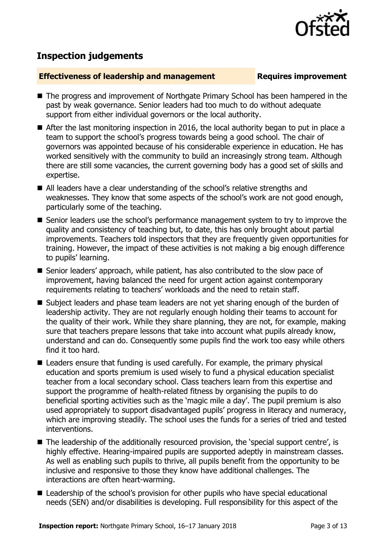

# **Inspection judgements**

### **Effectiveness of leadership and management Requires improvement**

- The progress and improvement of Northgate Primary School has been hampered in the past by weak governance. Senior leaders had too much to do without adequate support from either individual governors or the local authority.
- After the last monitoring inspection in 2016, the local authority began to put in place a team to support the school's progress towards being a good school. The chair of governors was appointed because of his considerable experience in education. He has worked sensitively with the community to build an increasingly strong team. Although there are still some vacancies, the current governing body has a good set of skills and expertise.
- All leaders have a clear understanding of the school's relative strengths and weaknesses. They know that some aspects of the school's work are not good enough, particularly some of the teaching.
- Senior leaders use the school's performance management system to try to improve the quality and consistency of teaching but, to date, this has only brought about partial improvements. Teachers told inspectors that they are frequently given opportunities for training. However, the impact of these activities is not making a big enough difference to pupils' learning.
- Senior leaders' approach, while patient, has also contributed to the slow pace of improvement, having balanced the need for urgent action against contemporary requirements relating to teachers' workloads and the need to retain staff.
- Subject leaders and phase team leaders are not yet sharing enough of the burden of leadership activity. They are not regularly enough holding their teams to account for the quality of their work. While they share planning, they are not, for example, making sure that teachers prepare lessons that take into account what pupils already know, understand and can do. Consequently some pupils find the work too easy while others find it too hard.
- Leaders ensure that funding is used carefully. For example, the primary physical education and sports premium is used wisely to fund a physical education specialist teacher from a local secondary school. Class teachers learn from this expertise and support the programme of health-related fitness by organising the pupils to do beneficial sporting activities such as the 'magic mile a day'. The pupil premium is also used appropriately to support disadvantaged pupils' progress in literacy and numeracy, which are improving steadily. The school uses the funds for a series of tried and tested interventions.
- The leadership of the additionally resourced provision, the 'special support centre', is highly effective. Hearing-impaired pupils are supported adeptly in mainstream classes. As well as enabling such pupils to thrive, all pupils benefit from the opportunity to be inclusive and responsive to those they know have additional challenges. The interactions are often heart-warming.
- Leadership of the school's provision for other pupils who have special educational needs (SEN) and/or disabilities is developing. Full responsibility for this aspect of the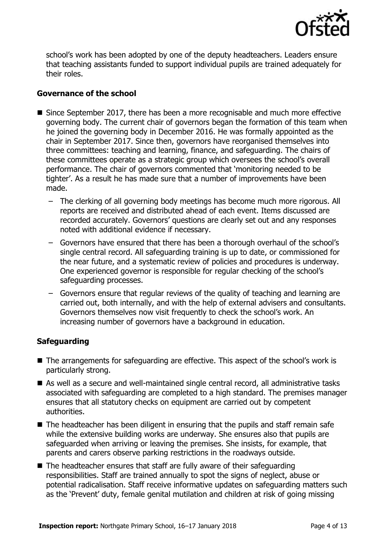

school's work has been adopted by one of the deputy headteachers. Leaders ensure that teaching assistants funded to support individual pupils are trained adequately for their roles.

### **Governance of the school**

- Since September 2017, there has been a more recognisable and much more effective governing body. The current chair of governors began the formation of this team when he joined the governing body in December 2016. He was formally appointed as the chair in September 2017. Since then, governors have reorganised themselves into three committees: teaching and learning, finance, and safeguarding. The chairs of these committees operate as a strategic group which oversees the school's overall performance. The chair of governors commented that 'monitoring needed to be tighter'. As a result he has made sure that a number of improvements have been made.
	- The clerking of all governing body meetings has become much more rigorous. All reports are received and distributed ahead of each event. Items discussed are recorded accurately. Governors' questions are clearly set out and any responses noted with additional evidence if necessary.
	- Governors have ensured that there has been a thorough overhaul of the school's single central record. All safeguarding training is up to date, or commissioned for the near future, and a systematic review of policies and procedures is underway. One experienced governor is responsible for regular checking of the school's safeguarding processes.
	- Governors ensure that regular reviews of the quality of teaching and learning are carried out, both internally, and with the help of external advisers and consultants. Governors themselves now visit frequently to check the school's work. An increasing number of governors have a background in education.

### **Safeguarding**

- The arrangements for safeguarding are effective. This aspect of the school's work is particularly strong.
- As well as a secure and well-maintained single central record, all administrative tasks associated with safeguarding are completed to a high standard. The premises manager ensures that all statutory checks on equipment are carried out by competent authorities.
- The headteacher has been diligent in ensuring that the pupils and staff remain safe while the extensive building works are underway. She ensures also that pupils are safeguarded when arriving or leaving the premises. She insists, for example, that parents and carers observe parking restrictions in the roadways outside.
- $\blacksquare$  The headteacher ensures that staff are fully aware of their safeguarding responsibilities. Staff are trained annually to spot the signs of neglect, abuse or potential radicalisation. Staff receive informative updates on safeguarding matters such as the 'Prevent' duty, female genital mutilation and children at risk of going missing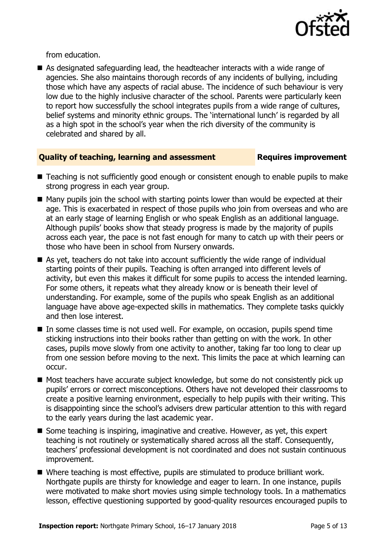

from education.

 As designated safeguarding lead, the headteacher interacts with a wide range of agencies. She also maintains thorough records of any incidents of bullying, including those which have any aspects of racial abuse. The incidence of such behaviour is very low due to the highly inclusive character of the school. Parents were particularly keen to report how successfully the school integrates pupils from a wide range of cultures, belief systems and minority ethnic groups. The 'international lunch' is regarded by all as a high spot in the school's year when the rich diversity of the community is celebrated and shared by all.

### **Quality of teaching, learning and assessment Requires improvement**

- Teaching is not sufficiently good enough or consistent enough to enable pupils to make strong progress in each year group.
- $\blacksquare$  Many pupils join the school with starting points lower than would be expected at their age. This is exacerbated in respect of those pupils who join from overseas and who are at an early stage of learning English or who speak English as an additional language. Although pupils' books show that steady progress is made by the majority of pupils across each year, the pace is not fast enough for many to catch up with their peers or those who have been in school from Nursery onwards.
- As yet, teachers do not take into account sufficiently the wide range of individual starting points of their pupils. Teaching is often arranged into different levels of activity, but even this makes it difficult for some pupils to access the intended learning. For some others, it repeats what they already know or is beneath their level of understanding. For example, some of the pupils who speak English as an additional language have above age-expected skills in mathematics. They complete tasks quickly and then lose interest.
- In some classes time is not used well. For example, on occasion, pupils spend time sticking instructions into their books rather than getting on with the work. In other cases, pupils move slowly from one activity to another, taking far too long to clear up from one session before moving to the next. This limits the pace at which learning can occur.
- Most teachers have accurate subject knowledge, but some do not consistently pick up pupils' errors or correct misconceptions. Others have not developed their classrooms to create a positive learning environment, especially to help pupils with their writing. This is disappointing since the school's advisers drew particular attention to this with regard to the early years during the last academic year.
- Some teaching is inspiring, imaginative and creative. However, as yet, this expert teaching is not routinely or systematically shared across all the staff. Consequently, teachers' professional development is not coordinated and does not sustain continuous improvement.
- Where teaching is most effective, pupils are stimulated to produce brilliant work. Northgate pupils are thirsty for knowledge and eager to learn. In one instance, pupils were motivated to make short movies using simple technology tools. In a mathematics lesson, effective questioning supported by good-quality resources encouraged pupils to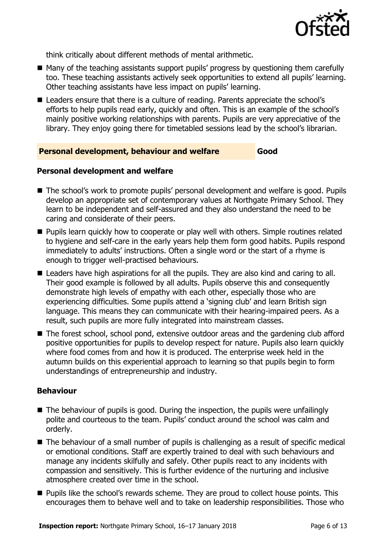

think critically about different methods of mental arithmetic.

- Many of the teaching assistants support pupils' progress by questioning them carefully too. These teaching assistants actively seek opportunities to extend all pupils' learning. Other teaching assistants have less impact on pupils' learning.
- Leaders ensure that there is a culture of reading. Parents appreciate the school's efforts to help pupils read early, quickly and often. This is an example of the school's mainly positive working relationships with parents. Pupils are very appreciative of the library. They enjoy going there for timetabled sessions lead by the school's librarian.

### **Personal development, behaviour and welfare Good**

### **Personal development and welfare**

- The school's work to promote pupils' personal development and welfare is good. Pupils develop an appropriate set of contemporary values at Northgate Primary School. They learn to be independent and self-assured and they also understand the need to be caring and considerate of their peers.
- **Pupils learn quickly how to cooperate or play well with others. Simple routines related** to hygiene and self-care in the early years help them form good habits. Pupils respond immediately to adults' instructions. Often a single word or the start of a rhyme is enough to trigger well-practised behaviours.
- Leaders have high aspirations for all the pupils. They are also kind and caring to all. Their good example is followed by all adults. Pupils observe this and consequently demonstrate high levels of empathy with each other, especially those who are experiencing difficulties. Some pupils attend a 'signing club' and learn British sign language. This means they can communicate with their hearing-impaired peers. As a result, such pupils are more fully integrated into mainstream classes.
- The forest school, school pond, extensive outdoor areas and the gardening club afford positive opportunities for pupils to develop respect for nature. Pupils also learn quickly where food comes from and how it is produced. The enterprise week held in the autumn builds on this experiential approach to learning so that pupils begin to form understandings of entrepreneurship and industry.

### **Behaviour**

- $\blacksquare$  The behaviour of pupils is good. During the inspection, the pupils were unfailingly polite and courteous to the team. Pupils' conduct around the school was calm and orderly.
- The behaviour of a small number of pupils is challenging as a result of specific medical or emotional conditions. Staff are expertly trained to deal with such behaviours and manage any incidents skilfully and safely. Other pupils react to any incidents with compassion and sensitively. This is further evidence of the nurturing and inclusive atmosphere created over time in the school.
- **Pupils like the school's rewards scheme. They are proud to collect house points. This** encourages them to behave well and to take on leadership responsibilities. Those who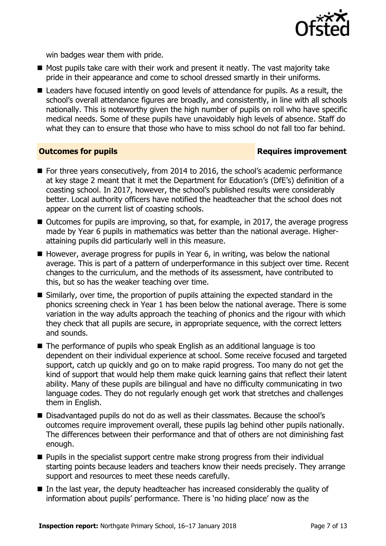

win badges wear them with pride.

- $\blacksquare$  Most pupils take care with their work and present it neatly. The vast majority take pride in their appearance and come to school dressed smartly in their uniforms.
- Leaders have focused intently on good levels of attendance for pupils. As a result, the school's overall attendance figures are broadly, and consistently, in line with all schools nationally. This is noteworthy given the high number of pupils on roll who have specific medical needs. Some of these pupils have unavoidably high levels of absence. Staff do what they can to ensure that those who have to miss school do not fall too far behind.

### **Outcomes for pupils Requires improvement**

- For three years consecutively, from 2014 to 2016, the school's academic performance at key stage 2 meant that it met the Department for Education's (DfE's) definition of a coasting school. In 2017, however, the school's published results were considerably better. Local authority officers have notified the headteacher that the school does not appear on the current list of coasting schools.
- Outcomes for pupils are improving, so that, for example, in 2017, the average progress made by Year 6 pupils in mathematics was better than the national average. Higherattaining pupils did particularly well in this measure.
- $\blacksquare$  However, average progress for pupils in Year 6, in writing, was below the national average. This is part of a pattern of underperformance in this subject over time. Recent changes to the curriculum, and the methods of its assessment, have contributed to this, but so has the weaker teaching over time.
- Similarly, over time, the proportion of pupils attaining the expected standard in the phonics screening check in Year 1 has been below the national average. There is some variation in the way adults approach the teaching of phonics and the rigour with which they check that all pupils are secure, in appropriate sequence, with the correct letters and sounds.
- The performance of pupils who speak English as an additional language is too dependent on their individual experience at school. Some receive focused and targeted support, catch up quickly and go on to make rapid progress. Too many do not get the kind of support that would help them make quick learning gains that reflect their latent ability. Many of these pupils are bilingual and have no difficulty communicating in two language codes. They do not regularly enough get work that stretches and challenges them in English.
- Disadvantaged pupils do not do as well as their classmates. Because the school's outcomes require improvement overall, these pupils lag behind other pupils nationally. The differences between their performance and that of others are not diminishing fast enough.
- $\blacksquare$  Pupils in the specialist support centre make strong progress from their individual starting points because leaders and teachers know their needs precisely. They arrange support and resources to meet these needs carefully.
- $\blacksquare$  In the last year, the deputy headteacher has increased considerably the quality of information about pupils' performance. There is 'no hiding place' now as the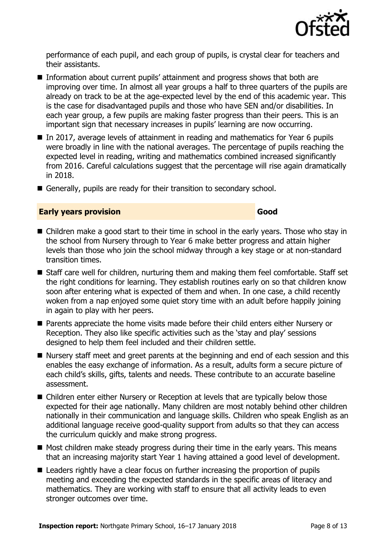

performance of each pupil, and each group of pupils, is crystal clear for teachers and their assistants.

- Information about current pupils' attainment and progress shows that both are improving over time. In almost all year groups a half to three quarters of the pupils are already on track to be at the age-expected level by the end of this academic year. This is the case for disadvantaged pupils and those who have SEN and/or disabilities. In each year group, a few pupils are making faster progress than their peers. This is an important sign that necessary increases in pupils' learning are now occurring.
- In 2017, average levels of attainment in reading and mathematics for Year 6 pupils were broadly in line with the national averages. The percentage of pupils reaching the expected level in reading, writing and mathematics combined increased significantly from 2016. Careful calculations suggest that the percentage will rise again dramatically in 2018.
- Generally, pupils are ready for their transition to secondary school.

### **Early years provision Good Good**

- Children make a good start to their time in school in the early years. Those who stay in the school from Nursery through to Year 6 make better progress and attain higher levels than those who join the school midway through a key stage or at non-standard transition times.
- Staff care well for children, nurturing them and making them feel comfortable. Staff set the right conditions for learning. They establish routines early on so that children know soon after entering what is expected of them and when. In one case, a child recently woken from a nap enjoyed some quiet story time with an adult before happily joining in again to play with her peers.
- Parents appreciate the home visits made before their child enters either Nursery or Reception. They also like specific activities such as the 'stay and play' sessions designed to help them feel included and their children settle.
- Nursery staff meet and greet parents at the beginning and end of each session and this enables the easy exchange of information. As a result, adults form a secure picture of each child's skills, gifts, talents and needs. These contribute to an accurate baseline assessment.
- Children enter either Nursery or Reception at levels that are typically below those expected for their age nationally. Many children are most notably behind other children nationally in their communication and language skills. Children who speak English as an additional language receive good-quality support from adults so that they can access the curriculum quickly and make strong progress.
- $\blacksquare$  Most children make steady progress during their time in the early years. This means that an increasing majority start Year 1 having attained a good level of development.
- Leaders rightly have a clear focus on further increasing the proportion of pupils meeting and exceeding the expected standards in the specific areas of literacy and mathematics. They are working with staff to ensure that all activity leads to even stronger outcomes over time.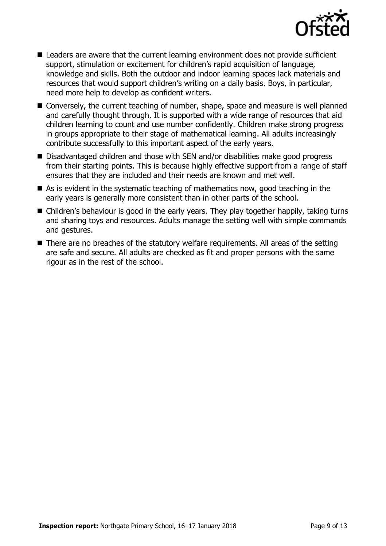

- Leaders are aware that the current learning environment does not provide sufficient support, stimulation or excitement for children's rapid acquisition of language, knowledge and skills. Both the outdoor and indoor learning spaces lack materials and resources that would support children's writing on a daily basis. Boys, in particular, need more help to develop as confident writers.
- Conversely, the current teaching of number, shape, space and measure is well planned and carefully thought through. It is supported with a wide range of resources that aid children learning to count and use number confidently. Children make strong progress in groups appropriate to their stage of mathematical learning. All adults increasingly contribute successfully to this important aspect of the early years.
- Disadvantaged children and those with SEN and/or disabilities make good progress from their starting points. This is because highly effective support from a range of staff ensures that they are included and their needs are known and met well.
- $\blacksquare$  As is evident in the systematic teaching of mathematics now, good teaching in the early years is generally more consistent than in other parts of the school.
- Children's behaviour is good in the early years. They play together happily, taking turns and sharing toys and resources. Adults manage the setting well with simple commands and gestures.
- There are no breaches of the statutory welfare requirements. All areas of the setting are safe and secure. All adults are checked as fit and proper persons with the same rigour as in the rest of the school.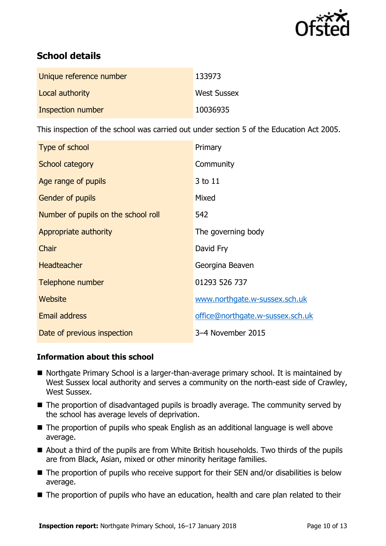

# **School details**

| Unique reference number | 133973             |
|-------------------------|--------------------|
| Local authority         | <b>West Sussex</b> |
| Inspection number       | 10036935           |

This inspection of the school was carried out under section 5 of the Education Act 2005.

| Type of school                      | Primary                          |
|-------------------------------------|----------------------------------|
| School category                     | Community                        |
| Age range of pupils                 | 3 to 11                          |
| <b>Gender of pupils</b>             | Mixed                            |
| Number of pupils on the school roll | 542                              |
| Appropriate authority               | The governing body               |
| Chair                               | David Fry                        |
| <b>Headteacher</b>                  | Georgina Beaven                  |
| Telephone number                    | 01293 526 737                    |
| Website                             | www.northgate.w-sussex.sch.uk    |
| <b>Email address</b>                | office@northgate.w-sussex.sch.uk |
| Date of previous inspection         | 3-4 November 2015                |

### **Information about this school**

- Northgate Primary School is a larger-than-average primary school. It is maintained by West Sussex local authority and serves a community on the north-east side of Crawley, West Sussex.
- The proportion of disadvantaged pupils is broadly average. The community served by the school has average levels of deprivation.
- The proportion of pupils who speak English as an additional language is well above average.
- About a third of the pupils are from White British households. Two thirds of the pupils are from Black, Asian, mixed or other minority heritage families.
- The proportion of pupils who receive support for their SEN and/or disabilities is below average.
- The proportion of pupils who have an education, health and care plan related to their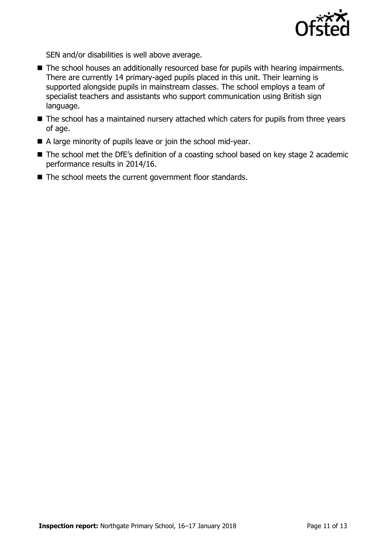

SEN and/or disabilities is well above average.

- The school houses an additionally resourced base for pupils with hearing impairments. There are currently 14 primary-aged pupils placed in this unit. Their learning is supported alongside pupils in mainstream classes. The school employs a team of specialist teachers and assistants who support communication using British sign language.
- The school has a maintained nursery attached which caters for pupils from three years of age.
- A large minority of pupils leave or join the school mid-year.
- The school met the DfE's definition of a coasting school based on key stage 2 academic performance results in 2014/16.
- $\blacksquare$  The school meets the current government floor standards.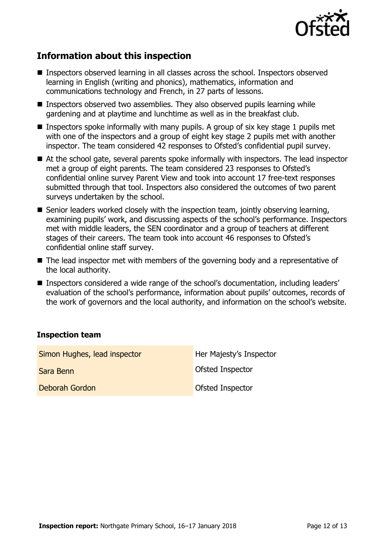

# **Information about this inspection**

- Inspectors observed learning in all classes across the school. Inspectors observed learning in English (writing and phonics), mathematics, information and communications technology and French, in 27 parts of lessons.
- Inspectors observed two assemblies. They also observed pupils learning while gardening and at playtime and lunchtime as well as in the breakfast club.
- **Inspectors spoke informally with many pupils. A group of six key stage 1 pupils met** with one of the inspectors and a group of eight key stage 2 pupils met with another inspector. The team considered 42 responses to Ofsted's confidential pupil survey.
- At the school gate, several parents spoke informally with inspectors. The lead inspector met a group of eight parents. The team considered 23 responses to Ofsted's confidential online survey Parent View and took into account 17 free-text responses submitted through that tool. Inspectors also considered the outcomes of two parent surveys undertaken by the school.
- $\blacksquare$  Senior leaders worked closely with the inspection team, jointly observing learning, examining pupils' work, and discussing aspects of the school's performance. Inspectors met with middle leaders, the SEN coordinator and a group of teachers at different stages of their careers. The team took into account 46 responses to Ofsted's confidential online staff survey.
- The lead inspector met with members of the governing body and a representative of the local authority.
- Inspectors considered a wide range of the school's documentation, including leaders' evaluation of the school's performance, information about pupils' outcomes, records of the work of governors and the local authority, and information on the school's website.

### **Inspection team**

| Simon Hughes, lead inspector | Her Majesty's Inspector |
|------------------------------|-------------------------|
| Sara Benn                    | Ofsted Inspector        |
| Deborah Gordon               | Ofsted Inspector        |